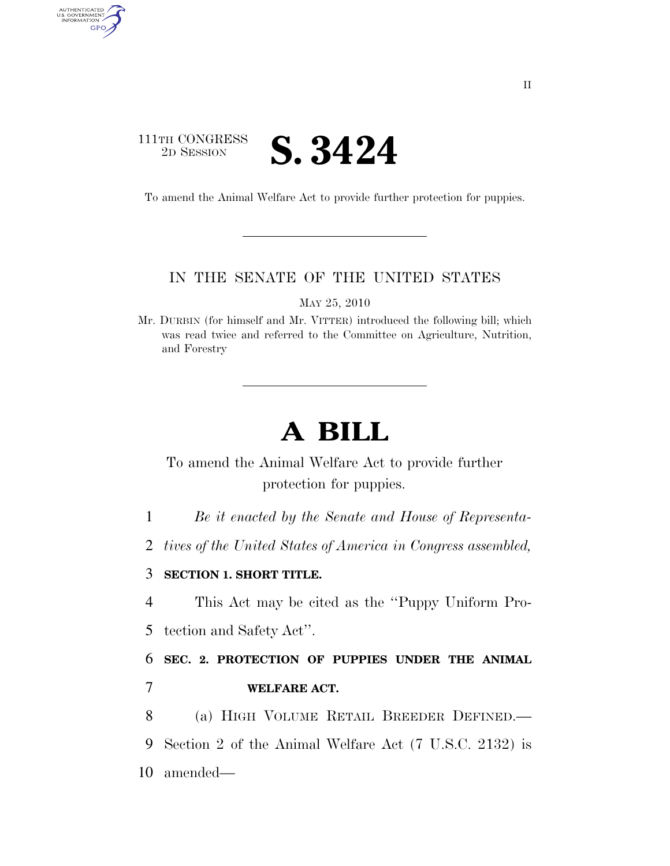# 111TH CONGRESS <sup>2D SESSION</sup> **S. 3424**

AUTHENTICATED<br>U.S. GOVERNMENT<br>INFORMATION

GPO

To amend the Animal Welfare Act to provide further protection for puppies.

## IN THE SENATE OF THE UNITED STATES

MAY 25, 2010

Mr. DURBIN (for himself and Mr. VITTER) introduced the following bill; which was read twice and referred to the Committee on Agriculture, Nutrition, and Forestry

# **A BILL**

To amend the Animal Welfare Act to provide further protection for puppies.

1 *Be it enacted by the Senate and House of Representa-*

2 *tives of the United States of America in Congress assembled,* 

#### 3 **SECTION 1. SHORT TITLE.**

4 This Act may be cited as the ''Puppy Uniform Pro-

5 tection and Safety Act''.

6 **SEC. 2. PROTECTION OF PUPPIES UNDER THE ANIMAL**  7 **WELFARE ACT.** 

8 (a) HIGH VOLUME RETAIL BREEDER DEFINED.— 9 Section 2 of the Animal Welfare Act (7 U.S.C. 2132) is 10 amended—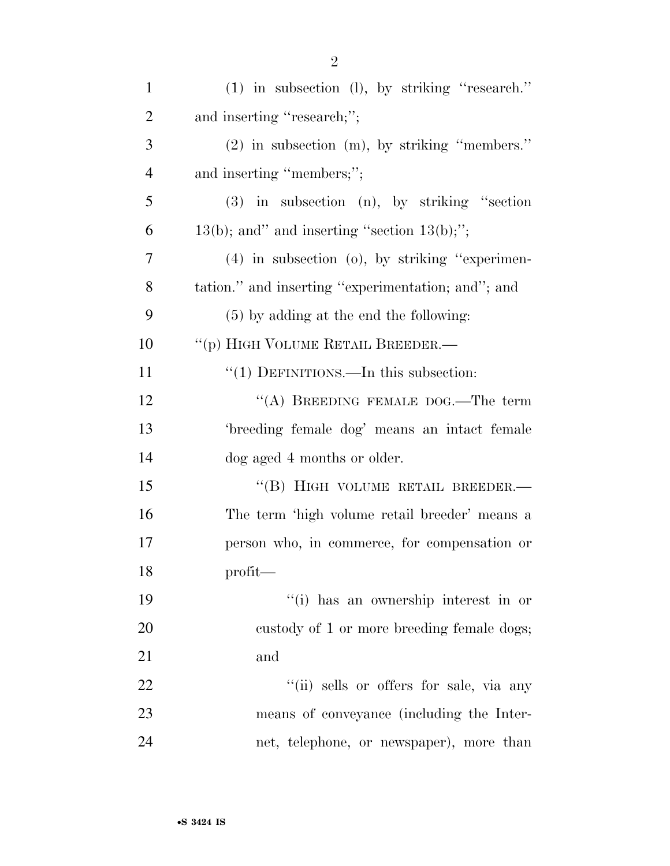| $\mathbf{1}$   | $(1)$ in subsection $(l)$ , by striking "research." |
|----------------|-----------------------------------------------------|
| $\overline{2}$ | and inserting "research;";                          |
| 3              | $(2)$ in subsection $(m)$ , by striking "members."  |
| 4              | and inserting "members;";                           |
| 5              | $(3)$ in subsection $(n)$ , by striking "section    |
| 6              | $13(b)$ ; and" and inserting "section $13(b)$ ;";   |
| 7              | $(4)$ in subsection $(0)$ , by striking "experimen- |
| 8              | tation." and inserting "experimentation; and"; and  |
| 9              | $(5)$ by adding at the end the following:           |
| 10             | "(p) HIGH VOLUME RETAIL BREEDER.—                   |
| 11             | " $(1)$ DEFINITIONS.—In this subsection:            |
| 12             | "(A) BREEDING FEMALE DOG.—The term                  |
| 13             | 'breeding female dog' means an intact female        |
| 14             | dog aged 4 months or older.                         |
| 15             | "(B) HIGH VOLUME RETAIL BREEDER.-                   |
| 16             | The term 'high volume retail breeder' means a       |
| 17             | person who, in commerce, for compensation or        |
| 18             | $profit$ —                                          |
| 19             | "(i) has an ownership interest in or                |
| 20             | custody of 1 or more breeding female dogs;          |
| 21             | and                                                 |
| 22             | "(ii) sells or offers for sale, via any             |
| 23             | means of conveyance (including the Inter-           |
| 24             | net, telephone, or newspaper), more than            |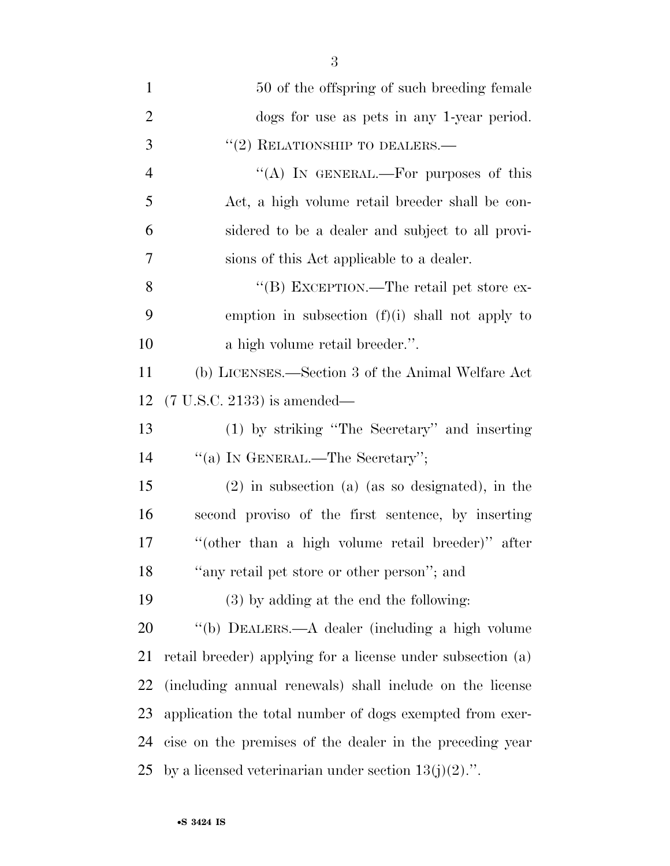| $\mathbf{1}$   | 50 of the offspring of such breeding female                 |
|----------------|-------------------------------------------------------------|
| $\overline{2}$ | dogs for use as pets in any 1-year period.                  |
| 3              | $\cdot\cdot$ (2) RELATIONSHIP TO DEALERS.—                  |
| $\overline{4}$ | "(A) IN GENERAL.—For purposes of this                       |
| 5              | Act, a high volume retail breeder shall be con-             |
| 6              | sidered to be a dealer and subject to all provi-            |
| 7              | sions of this Act applicable to a dealer.                   |
| 8              | "(B) EXCEPTION.—The retail pet store ex-                    |
| 9              | emption in subsection $(f)(i)$ shall not apply to           |
| 10             | a high volume retail breeder.".                             |
| 11             | (b) LICENSES.—Section 3 of the Animal Welfare Act           |
| 12             | $(7 \text{ U.S.C. } 2133)$ is amended—                      |
| 13             | (1) by striking "The Secretary" and inserting               |
| 14             | "(a) IN GENERAL.—The Secretary";                            |
| 15             | $(2)$ in subsection (a) (as so designated), in the          |
| 16             | second proviso of the first sentence, by inserting          |
| 17             | "(other than a high volume retail breeder)" after           |
| 18             | "any retail pet store or other person"; and                 |
| 19             | $(3)$ by adding at the end the following:                   |
| 20             | "(b) DEALERS.—A dealer (including a high volume             |
| 21             | retail breeder) applying for a license under subsection (a) |
| 22             | (including annual renewals) shall include on the license    |
| 23             | application the total number of dogs exempted from exer-    |
| 24             | cise on the premises of the dealer in the preceding year    |
| 25             | by a licensed veterinarian under section $13(j)(2)$ .".     |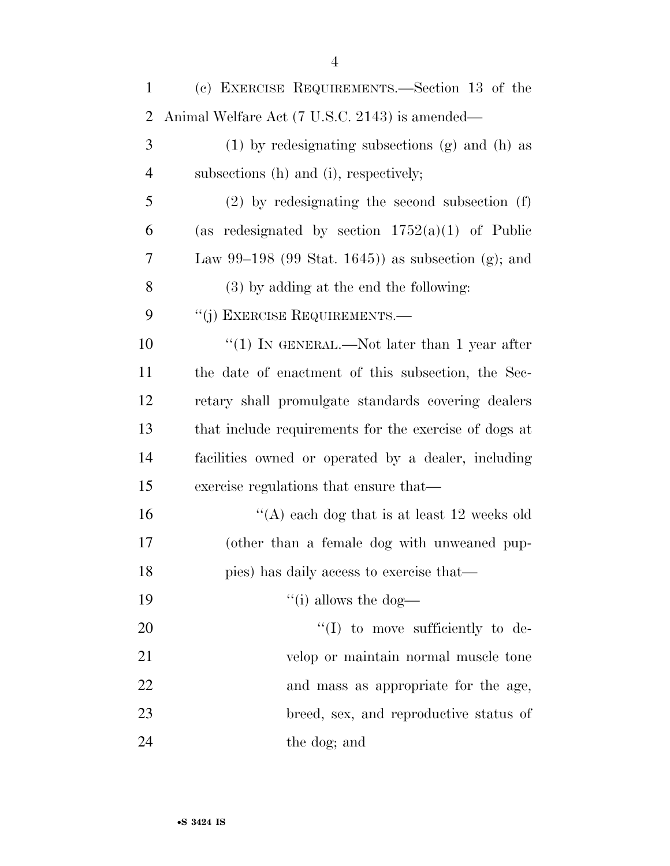| 1  | (c) EXERCISE REQUIREMENTS.—Section 13 of the          |
|----|-------------------------------------------------------|
| 2  | Animal Welfare Act (7 U.S.C. 2143) is amended—        |
| 3  | $(1)$ by redesignating subsections $(g)$ and $(h)$ as |
| 4  | subsections (h) and (i), respectively;                |
| 5  | $(2)$ by redesignating the second subsection $(f)$    |
| 6  | (as redesignated by section $1752(a)(1)$ of Public    |
| 7  | Law 99–198 (99 Stat. 1645)) as subsection (g); and    |
| 8  | $(3)$ by adding at the end the following:             |
| 9  | "(j) EXERCISE REQUIREMENTS.—                          |
| 10 | "(1) IN GENERAL.—Not later than 1 year after          |
| 11 | the date of enactment of this subsection, the Sec-    |
| 12 | retary shall promulgate standards covering dealers    |
| 13 | that include requirements for the exercise of dogs at |
| 14 | facilities owned or operated by a dealer, including   |
| 15 | exercise regulations that ensure that—                |
| 16 | "(A) each dog that is at least $12$ weeks old         |
| 17 | (other than a female dog with unweaned pup-           |
| 18 | pies) has daily access to exercise that—              |
| 19 | $\lq\lq$ (i) allows the dog—                          |
| 20 | "(I) to move sufficiently to de-                      |
| 21 | velop or maintain normal muscle tone                  |
| 22 | and mass as appropriate for the age,                  |
| 23 | breed, sex, and reproductive status of                |
| 24 | the dog; and                                          |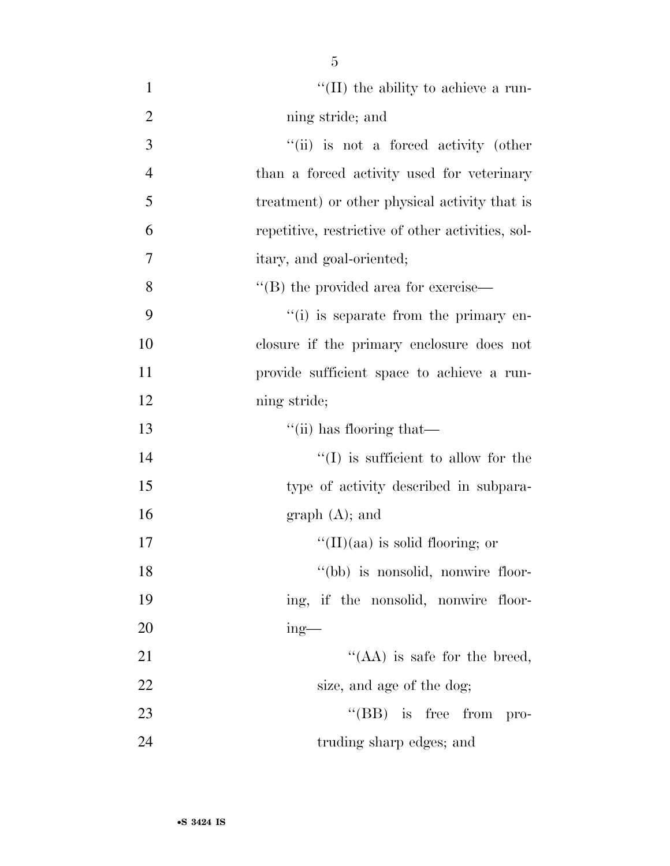| $\mathbf{1}$   | $\lq\lq$ (II) the ability to achieve a run-       |
|----------------|---------------------------------------------------|
| $\overline{2}$ | ning stride; and                                  |
| 3              | "(ii) is not a forced activity (other             |
| $\overline{4}$ | than a forced activity used for veterinary        |
| 5              | treatment) or other physical activity that is     |
| 6              | repetitive, restrictive of other activities, sol- |
| 7              | itary, and goal-oriented;                         |
| 8              | $\lq\lq$ the provided area for exercise—          |
| 9              | "(i) is separate from the primary en-             |
| 10             | closure if the primary enclosure does not         |
| 11             | provide sufficient space to achieve a run-        |
| 12             | ning stride;                                      |
| 13             | "(ii) has flooring that—                          |
| 14             | $\lq\lq$ (I) is sufficient to allow for the       |
| 15             | type of activity described in subpara-            |
| 16             | $graph(A);$ and                                   |
| 17             | "(II)(aa) is solid flooring; or                   |
| 18             | "(bb) is nonsolid, nonwire floor-                 |
| 19             | ing, if the nonsolid, nonwire floor-              |
| 20             | $ing$ —                                           |
| 21             | "(AA) is safe for the breed,                      |
| 22             | size, and age of the dog;                         |
| 23             | $\lq\lq$ (BB) is free from<br>pro-                |
| 24             | truding sharp edges; and                          |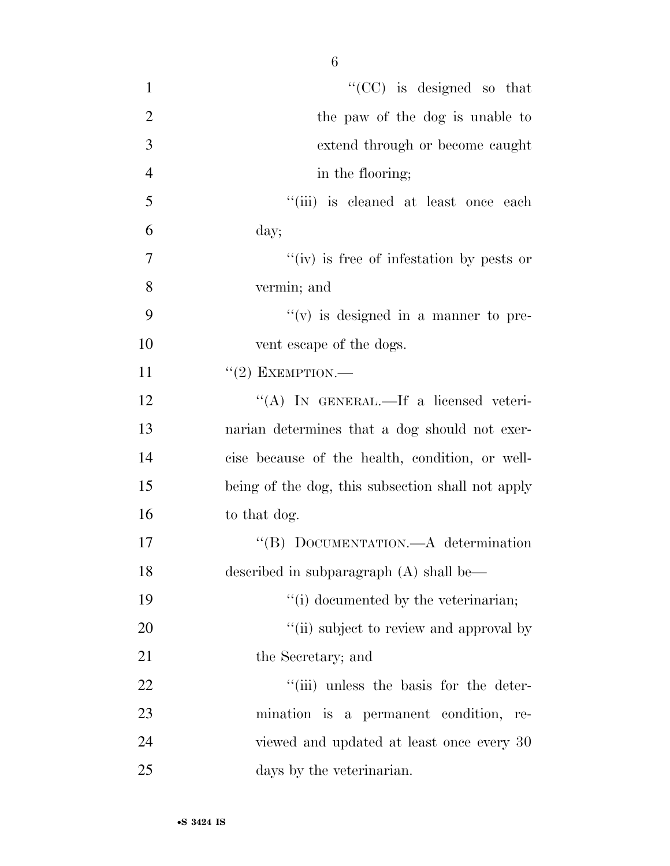| $\mathbf{1}$   | $\lq\lq$ (CC) is designed so that                 |
|----------------|---------------------------------------------------|
| $\overline{2}$ | the paw of the dog is unable to                   |
| 3              | extend through or become caught                   |
| $\overline{4}$ | in the flooring;                                  |
| 5              | "(iii) is cleaned at least once each              |
| 6              | day;                                              |
| 7              | "(iv) is free of infestation by pests or          |
| 8              | vermin; and                                       |
| 9              | $f'(v)$ is designed in a manner to pre-           |
| 10             | vent escape of the dogs.                          |
| 11             | $"(2)$ EXEMPTION.—                                |
| 12             | "(A) IN GENERAL.—If a licensed veteri-            |
| 13             | narian determines that a dog should not exer-     |
| 14             | cise because of the health, condition, or well-   |
| 15             | being of the dog, this subsection shall not apply |
| 16             | to that dog.                                      |
| 17             | "(B) DOCUMENTATION.—A determination               |
| 18             | described in subparagraph $(A)$ shall be—         |
| 19             | "(i) documented by the veterinarian;              |
| 20             | "(ii) subject to review and approval by           |
| 21             | the Secretary; and                                |
| 22             | "(iii) unless the basis for the deter-            |
| 23             | mination is a permanent condition,<br>re-         |
| 24             | viewed and updated at least once every 30         |
| 25             | days by the veterinarian.                         |